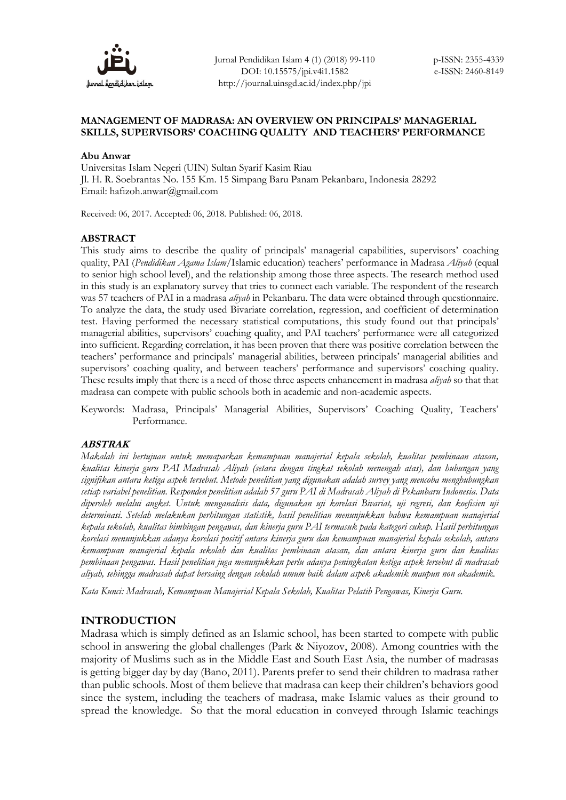

## **MANAGEMENT OF MADRASA: AN OVERVIEW ON PRINCIPALS' MANAGERIAL SKILLS, SUPERVISORS' COACHING QUALITY AND TEACHERS' PERFORMANCE**

### **Abu Anwar**

Universitas Islam Negeri (UIN) Sultan Syarif Kasim Riau Jl. H. R. Soebrantas No. 155 Km. 15 Simpang Baru Panam Pekanbaru, Indonesia 28292 Email: hafizoh.anwar@gmail.com

Received: 06, 2017. Accepted: 06, 2018. Published: 06, 2018.

## **ABSTRACT**

This study aims to describe the quality of principals' managerial capabilities, supervisors' coaching quality, PAI (*Pendidikan Agama Islam*/Islamic education) teachers' performance in Madrasa *Aliyah* (equal to senior high school level), and the relationship among those three aspects. The research method used in this study is an explanatory survey that tries to connect each variable. The respondent of the research was 57 teachers of PAI in a madrasa *aliyah* in Pekanbaru. The data were obtained through questionnaire. To analyze the data, the study used Bivariate correlation, regression, and coefficient of determination test. Having performed the necessary statistical computations, this study found out that principals' managerial abilities, supervisors' coaching quality, and PAI teachers' performance were all categorized into sufficient. Regarding correlation, it has been proven that there was positive correlation between the teachers' performance and principals' managerial abilities, between principals' managerial abilities and supervisors' coaching quality, and between teachers' performance and supervisors' coaching quality. These results imply that there is a need of those three aspects enhancement in madrasa *aliyah* so that that madrasa can compete with public schools both in academic and non-academic aspects.

Keywords: Madrasa, Principals' Managerial Abilities, Supervisors' Coaching Quality, Teachers' Performance.

# **ABSTRAK**

*Makalah ini bertujuan untuk memaparkan kemampuan manajerial kepala sekolah, kualitas pembinaan atasan, kualitas kinerja guru PAI Madrasah Aliyah (setara dengan tingkat sekolah menengah atas), dan hubungan yang signifikan antara ketiga aspek tersebut. Metode penelitian yang digunakan adalah survey yang mencoba menghubungkan setiap variabel penelitian. Responden penelitian adalah 57 guru PAI di Madrasah Aliyah di Pekanbaru Indonesia. Data diperoleh melalui angket. Untuk menganalisis data, digunakan uji korelasi Bivariat, uji regresi, dan koefisien uji determinasi. Setelah melakukan perhitungan statistik, hasil penelitian menunjukkan bahwa kemampuan manajerial kepala sekolah, kualitas bimbingan pengawas, dan kinerja guru PAI termasuk pada kategori cukup. Hasil perhitungan korelasi menunjukkan adanya korelasi positif antara kinerja guru dan kemampuan manajerial kepala sekolah, antara kemampuan manajerial kepala sekolah dan kualitas pembinaan atasan, dan antara kinerja guru dan kualitas pembinaan pengawas. Hasil penelitian juga menunjukkan perlu adanya peningkatan ketiga aspek tersebut di madrasah aliyah, sehingga madrasah dapat bersaing dengan sekolah umum baik dalam aspek akademik maupun non akademik.*

*Kata Kunci: Madrasah, Kemampuan Manajerial Kepala Sekolah, Kualitas Pelatih Pengawas, Kinerja Guru.*

## **INTRODUCTION**

Madrasa which is simply defined as an Islamic school, has been started to compete with public school in answering the global challenges (Park & Niyozov, 2008). Among countries with the majority of Muslims such as in the Middle East and South East Asia, the number of madrasas is getting bigger day by day (Bano, 2011). Parents prefer to send their children to madrasa rather than public schools. Most of them believe that madrasa can keep their children's behaviors good since the system, including the teachers of madrasa, make Islamic values as their ground to spread the knowledge. So that the moral education in conveyed through Islamic teachings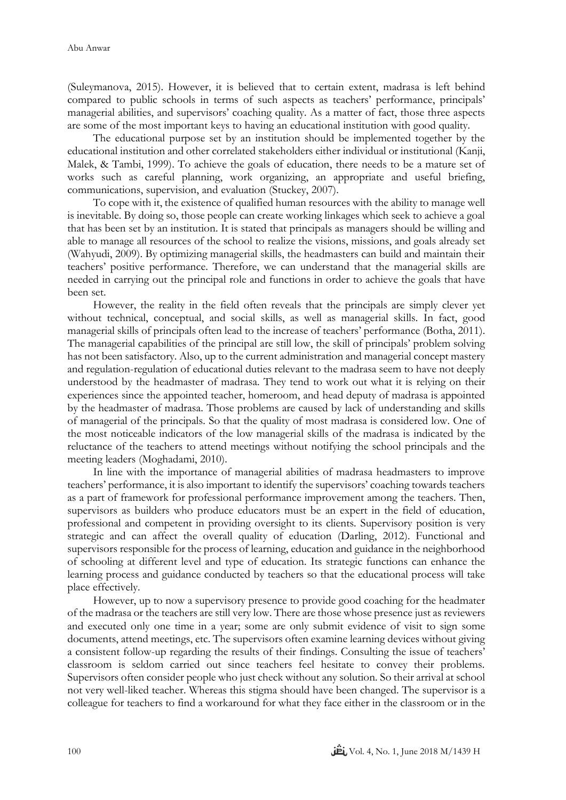(Suleymanova, 2015). However, it is believed that to certain extent, madrasa is left behind compared to public schools in terms of such aspects as teachers' performance, principals' managerial abilities, and supervisors' coaching quality. As a matter of fact, those three aspects are some of the most important keys to having an educational institution with good quality.

The educational purpose set by an institution should be implemented together by the educational institution and other correlated stakeholders either individual or institutional (Kanji, Malek, & Tambi, 1999). To achieve the goals of education, there needs to be a mature set of works such as careful planning, work organizing, an appropriate and useful briefing, communications, supervision, and evaluation (Stuckey, 2007).

To cope with it, the existence of qualified human resources with the ability to manage well is inevitable. By doing so, those people can create working linkages which seek to achieve a goal that has been set by an institution. It is stated that principals as managers should be willing and able to manage all resources of the school to realize the visions, missions, and goals already set (Wahyudi, 2009). By optimizing managerial skills, the headmasters can build and maintain their teachers' positive performance. Therefore, we can understand that the managerial skills are needed in carrying out the principal role and functions in order to achieve the goals that have been set.

However, the reality in the field often reveals that the principals are simply clever yet without technical, conceptual, and social skills, as well as managerial skills. In fact, good managerial skills of principals often lead to the increase of teachers' performance (Botha, 2011). The managerial capabilities of the principal are still low, the skill of principals' problem solving has not been satisfactory. Also, up to the current administration and managerial concept mastery and regulation-regulation of educational duties relevant to the madrasa seem to have not deeply understood by the headmaster of madrasa. They tend to work out what it is relying on their experiences since the appointed teacher, homeroom, and head deputy of madrasa is appointed by the headmaster of madrasa. Those problems are caused by lack of understanding and skills of managerial of the principals. So that the quality of most madrasa is considered low. One of the most noticeable indicators of the low managerial skills of the madrasa is indicated by the reluctance of the teachers to attend meetings without notifying the school principals and the meeting leaders (Moghadami, 2010).

In line with the importance of managerial abilities of madrasa headmasters to improve teachers' performance, it is also important to identify the supervisors' coaching towards teachers as a part of framework for professional performance improvement among the teachers. Then, supervisors as builders who produce educators must be an expert in the field of education, professional and competent in providing oversight to its clients. Supervisory position is very strategic and can affect the overall quality of education (Darling, 2012). Functional and supervisors responsible for the process of learning, education and guidance in the neighborhood of schooling at different level and type of education. Its strategic functions can enhance the learning process and guidance conducted by teachers so that the educational process will take place effectively.

However, up to now a supervisory presence to provide good coaching for the headmater of the madrasa or the teachers are still very low. There are those whose presence just as reviewers and executed only one time in a year; some are only submit evidence of visit to sign some documents, attend meetings, etc. The supervisors often examine learning devices without giving a consistent follow-up regarding the results of their findings. Consulting the issue of teachers' classroom is seldom carried out since teachers feel hesitate to convey their problems. Supervisors often consider people who just check without any solution. So their arrival at school not very well-liked teacher. Whereas this stigma should have been changed. The supervisor is a colleague for teachers to find a workaround for what they face either in the classroom or in the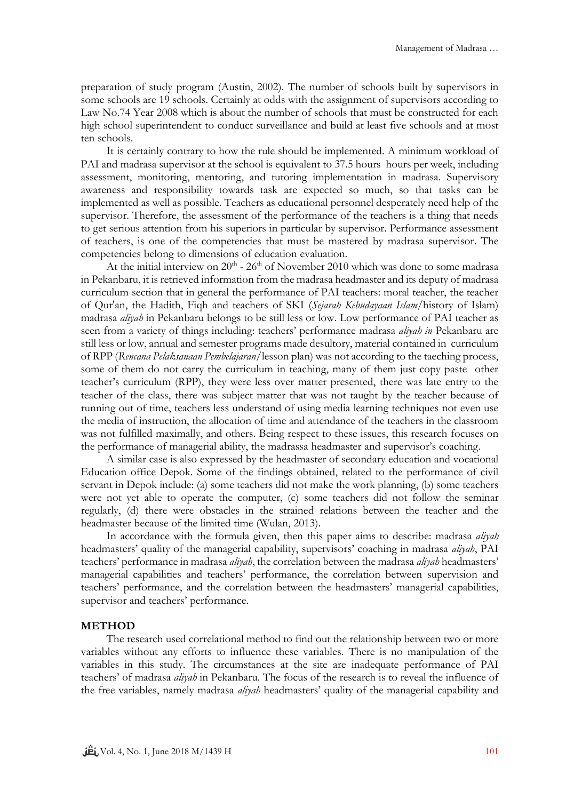preparation of study program (Austin, 2002). The number of schools built by supervisors in some schools are 19 schools. Certainly at odds with the assignment of supervisors according to Law No.74 Year 2008 which is about the number of schools that must be constructed for each high school superintendent to conduct surveillance and build at least five schools and at most ten schools.

It is certainly contrary to how the rule should be implemented. A minimum workload of PAI and madrasa supervisor at the school is equivalent to 37.5 hours hours per week, including assessment, monitoring, mentoring, and tutoring implementation in madrasa. Supervisory awareness and responsibility towards task are expected so much, so that tasks can be implemented as well as possible. Teachers as educational personnel desperately need help of the supervisor. Therefore, the assessment of the performance of the teachers is a thing that needs to get serious attention from his superiors in particular by supervisor. Performance assessment of teachers, is one of the competencies that must be mastered by madrasa supervisor. The competencies belong to dimensions of education evaluation.

At the initial interview on  $20^{th}$  -  $26^{th}$  of November 2010 which was done to some madrasa in Pekanbaru, it is retrieved information from the madrasa headmaster and its deputy of madrasa curriculum section that in general the performance of PAI teachers: moral teacher, the teacher of Qur'an, the Hadith, Fiqh and teachers of SKI (*Sejarah Kebudayaan Islam/*history of Islam) madrasa *aliyah* in Pekanbaru belongs to be still less or low. Low performance of PAI teacher as seen from a variety of things including: teachers' performance madrasa *aliyah in* Pekanbaru are still less or low, annual and semester programs made desultory, material contained in curriculum of RPP (*Rencana Pelaksanaan Pembelajaran/*lesson plan) was not according to the taeching process, some of them do not carry the curriculum in teaching, many of them just copy paste other teacher's curriculum (RPP), they were less over matter presented, there was late entry to the teacher of the class, there was subject matter that was not taught by the teacher because of running out of time, teachers less understand of using media learning techniques not even use the media of instruction, the allocation of time and attendance of the teachers in the classroom was not fulfilled maximally, and others. Being respect to these issues, this research focuses on the performance of managerial ability, the madrassa headmaster and supervisor's coaching.

A similar case is also expressed by the headmaster of secondary education and vocational Education office Depok. Some of the findings obtained, related to the performance of civil servant in Depok include: (a) some teachers did not make the work planning, (b) some teachers were not yet able to operate the computer, (c) some teachers did not follow the seminar regularly, (d) there were obstacles in the strained relations between the teacher and the headmaster because of the limited time (Wulan, 2013).

In accordance with the formula given, then this paper aims to describe: madrasa *aliyah* headmasters' quality of the managerial capability, supervisors' coaching in madrasa *aliyah*, PAI teachers' performance in madrasa *aliyah*, the correlation between the madrasa *aliyah* headmasters' managerial capabilities and teachers' performance, the correlation between supervision and teachers' performance, and the correlation between the headmasters' managerial capabilities, supervisor and teachers' performance.

#### **METHOD**

The research used correlational method to find out the relationship between two or more variables without any efforts to influence these variables. There is no manipulation of the variables in this study. The circumstances at the site are inadequate performance of PAI teachers' of madrasa *aliyah* in Pekanbaru. The focus of the research is to reveal the influence of the free variables, namely madrasa *aliyah* headmasters' quality of the managerial capability and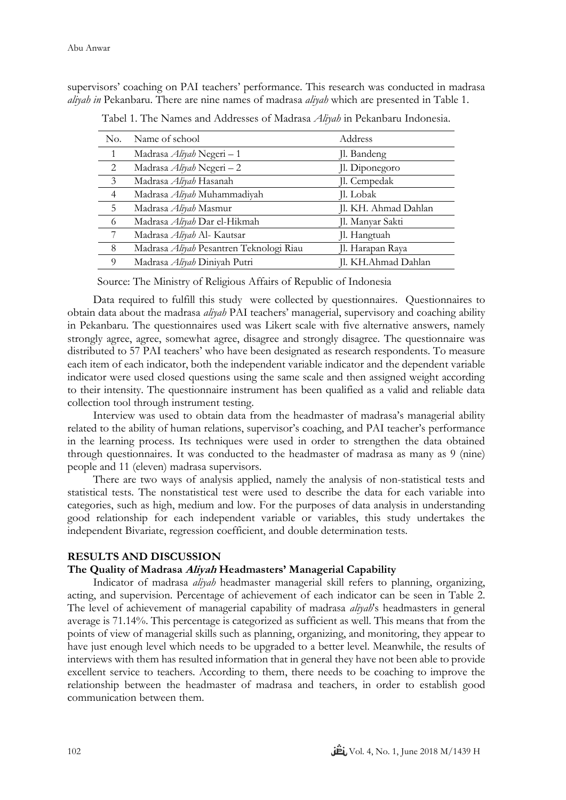supervisors' coaching on PAI teachers' performance. This research was conducted in madrasa *aliyah in* Pekanbaru. There are nine names of madrasa *aliyah* which are presented in Table 1.

| No. | Name of school                          | Address              |
|-----|-----------------------------------------|----------------------|
|     | Madrasa <i>Aliyah</i> Negeri - 1        | Jl. Bandeng          |
| 2   | Madrasa Aliyah Negeri - 2               | Jl. Diponegoro       |
| 3   | Madrasa Aliyah Hasanah                  | Jl. Cempedak         |
| 4   | Madrasa Aliyah Muhammadiyah             | Jl. Lobak            |
| 5   | Madrasa Aliyah Masmur                   | Jl. KH. Ahmad Dahlan |
| 6   | Madrasa Aliyah Dar el-Hikmah            | Jl. Manyar Sakti     |
|     | Madrasa Aliyah Al- Kautsar              | Jl. Hangtuah         |
| 8   | Madrasa Aliyah Pesantren Teknologi Riau | Jl. Harapan Raya     |
| Q   | Madrasa Aliyah Diniyah Putri            | Jl. KH.Ahmad Dahlan  |

Tabel 1. The Names and Addresses of Madrasa *Aliyah* in Pekanbaru Indonesia.

Source: The Ministry of Religious Affairs of Republic of Indonesia

Data required to fulfill this study were collected by questionnaires. Questionnaires to obtain data about the madrasa *aliyah* PAI teachers' managerial, supervisory and coaching ability in Pekanbaru. The questionnaires used was Likert scale with five alternative answers, namely strongly agree, agree, somewhat agree, disagree and strongly disagree. The questionnaire was distributed to 57 PAI teachers' who have been designated as research respondents. To measure each item of each indicator, both the independent variable indicator and the dependent variable indicator were used closed questions using the same scale and then assigned weight according to their intensity. The questionnaire instrument has been qualified as a valid and reliable data collection tool through instrument testing.

Interview was used to obtain data from the headmaster of madrasa's managerial ability related to the ability of human relations, supervisor's coaching, and PAI teacher's performance in the learning process. Its techniques were used in order to strengthen the data obtained through questionnaires. It was conducted to the headmaster of madrasa as many as 9 (nine) people and 11 (eleven) madrasa supervisors.

There are two ways of analysis applied, namely the analysis of non-statistical tests and statistical tests. The nonstatistical test were used to describe the data for each variable into categories, such as high, medium and low. For the purposes of data analysis in understanding good relationship for each independent variable or variables, this study undertakes the independent Bivariate, regression coefficient, and double determination tests.

## **RESULTS AND DISCUSSION**

### **The Quality of Madrasa Aliyah Headmasters' Managerial Capability**

Indicator of madrasa *aliyah* headmaster managerial skill refers to planning, organizing, acting, and supervision. Percentage of achievement of each indicator can be seen in Table 2. The level of achievement of managerial capability of madrasa *aliyah*'s headmasters in general average is 71.14%. This percentage is categorized as sufficient as well. This means that from the points of view of managerial skills such as planning, organizing, and monitoring, they appear to have just enough level which needs to be upgraded to a better level. Meanwhile, the results of interviews with them has resulted information that in general they have not been able to provide excellent service to teachers. According to them, there needs to be coaching to improve the relationship between the headmaster of madrasa and teachers, in order to establish good communication between them.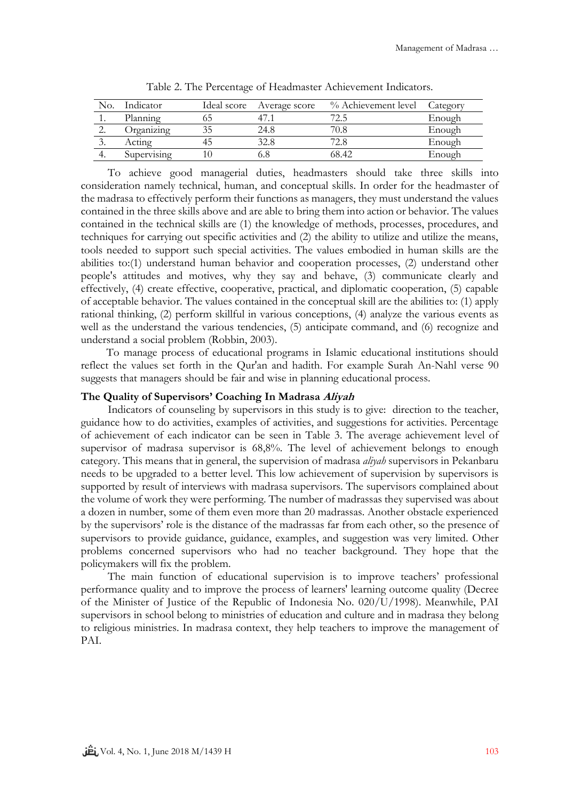| No.       | Indicator   | Ideal score | Average score | % Achievement level | Category |
|-----------|-------------|-------------|---------------|---------------------|----------|
|           | Planning    |             |               |                     | Enough   |
|           | Jrganizing  |             | 24.8          |                     | Enough   |
| $\cdot$ . | Acting      |             | 32.8          |                     | Enough   |
|           | Supervising |             |               | 68.42               | Enough   |

Table 2. The Percentage of Headmaster Achievement Indicators.

To achieve good managerial duties, headmasters should take three skills into consideration namely technical, human, and conceptual skills. In order for the headmaster of the madrasa to effectively perform their functions as managers, they must understand the values contained in the three skills above and are able to bring them into action or behavior. The values contained in the technical skills are (1) the knowledge of methods, processes, procedures, and techniques for carrying out specific activities and (2) the ability to utilize and utilize the means, tools needed to support such special activities. The values embodied in human skills are the abilities to:(1) understand human behavior and cooperation processes, (2) understand other people's attitudes and motives, why they say and behave, (3) communicate clearly and effectively, (4) create effective, cooperative, practical, and diplomatic cooperation, (5) capable of acceptable behavior. The values contained in the conceptual skill are the abilities to: (1) apply rational thinking, (2) perform skillful in various conceptions, (4) analyze the various events as well as the understand the various tendencies, (5) anticipate command, and (6) recognize and understand a social problem (Robbin, 2003).

To manage process of educational programs in Islamic educational institutions should reflect the values set forth in the Qur'an and hadith. For example Surah An-Nahl verse 90 suggests that managers should be fair and wise in planning educational process.

### **The Quality of Supervisors' Coaching In Madrasa Aliyah**

Indicators of counseling by supervisors in this study is to give: direction to the teacher, guidance how to do activities, examples of activities, and suggestions for activities. Percentage of achievement of each indicator can be seen in Table 3. The average achievement level of supervisor of madrasa supervisor is 68,8%. The level of achievement belongs to enough category. This means that in general, the supervision of madrasa *aliyah* supervisors in Pekanbaru needs to be upgraded to a better level. This low achievement of supervision by supervisors is supported by result of interviews with madrasa supervisors. The supervisors complained about the volume of work they were performing. The number of madrassas they supervised was about a dozen in number, some of them even more than 20 madrassas. Another obstacle experienced by the supervisors' role is the distance of the madrassas far from each other, so the presence of supervisors to provide guidance, guidance, examples, and suggestion was very limited. Other problems concerned supervisors who had no teacher background. They hope that the policymakers will fix the problem.

The main function of educational supervision is to improve teachers' professional performance quality and to improve the process of learners' learning outcome quality (Decree of the Minister of Justice of the Republic of Indonesia No. 020/U/1998). Meanwhile, PAI supervisors in school belong to ministries of education and culture and in madrasa they belong to religious ministries. In madrasa context, they help teachers to improve the management of PAI.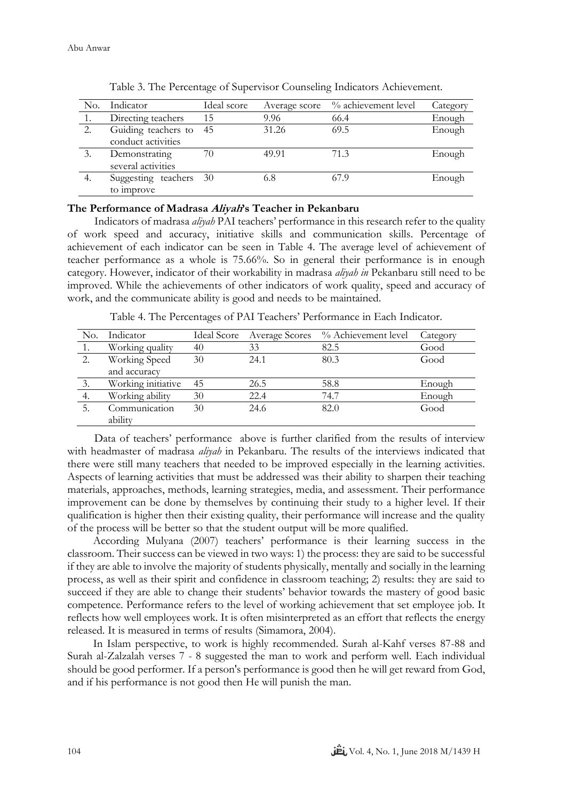| No. | Indicator                                 | Ideal score | Average score | % achievement level | Category |
|-----|-------------------------------------------|-------------|---------------|---------------------|----------|
|     | Directing teachers                        | 15          | 9.96          | 66.4                | Enough   |
| 2.  | Guiding teachers to<br>conduct activities | - 45        | 31.26         | 69.5                | Enough   |
|     | Demonstrating<br>several activities       | 70          | 49.91         | 71.3                | Enough   |
| 4.  | Suggesting teachers<br>to improve         | - 30        | 6.8           | 67.9                | Enough   |

Table 3. The Percentage of Supervisor Counseling Indicators Achievement.

## **The Performance of Madrasa Aliyah's Teacher in Pekanbaru**

Indicators of madrasa *aliyah* PAI teachers' performance in this research refer to the quality of work speed and accuracy, initiative skills and communication skills. Percentage of achievement of each indicator can be seen in Table 4. The average level of achievement of teacher performance as a whole is 75.66%. So in general their performance is in enough category. However, indicator of their workability in madrasa *aliyah in* Pekanbaru still need to be improved. While the achievements of other indicators of work quality, speed and accuracy of work, and the communicate ability is good and needs to be maintained.

Table 4. The Percentages of PAI Teachers' Performance in Each Indicator.

| No. | Indicator                |    |      | Ideal Score Average Scores % Achievement level | Category |
|-----|--------------------------|----|------|------------------------------------------------|----------|
|     | Working quality          | 40 | 33   | 82.5                                           | Good     |
| 2.  | Working Speed            | 30 | 24.1 | 80.3                                           | Good     |
|     | and accuracy             |    |      |                                                |          |
| 3.  | Working initiative       | 45 | 26.5 | 58.8                                           | Enough   |
| 4.  | Working ability          | 30 | 22.4 | 74.7                                           | Enough   |
|     | Communication<br>ability | 30 | 24.6 | 82.0                                           | Good     |
|     |                          |    |      |                                                |          |

Data of teachers' performance above is further clarified from the results of interview with headmaster of madrasa *aliyah* in Pekanbaru. The results of the interviews indicated that there were still many teachers that needed to be improved especially in the learning activities. Aspects of learning activities that must be addressed was their ability to sharpen their teaching materials, approaches, methods, learning strategies, media, and assessment. Their performance improvement can be done by themselves by continuing their study to a higher level. If their qualification is higher then their existing quality, their performance will increase and the quality of the process will be better so that the student output will be more qualified.

According Mulyana (2007) teachers' performance is their learning success in the classroom. Their success can be viewed in two ways: 1) the process: they are said to be successful if they are able to involve the majority of students physically, mentally and socially in the learning process, as well as their spirit and confidence in classroom teaching; 2) results: they are said to succeed if they are able to change their students' behavior towards the mastery of good basic competence. Performance refers to the level of working achievement that set employee job. It reflects how well employees work. It is often misinterpreted as an effort that reflects the energy released. It is measured in terms of results (Simamora, 2004).

In Islam perspective, to work is highly recommended. Surah al-Kahf verses 87-88 and Surah al-Zalzalah verses 7 - 8 suggested the man to work and perform well. Each individual should be good performer. If a person's performance is good then he will get reward from God, and if his performance is not good then He will punish the man.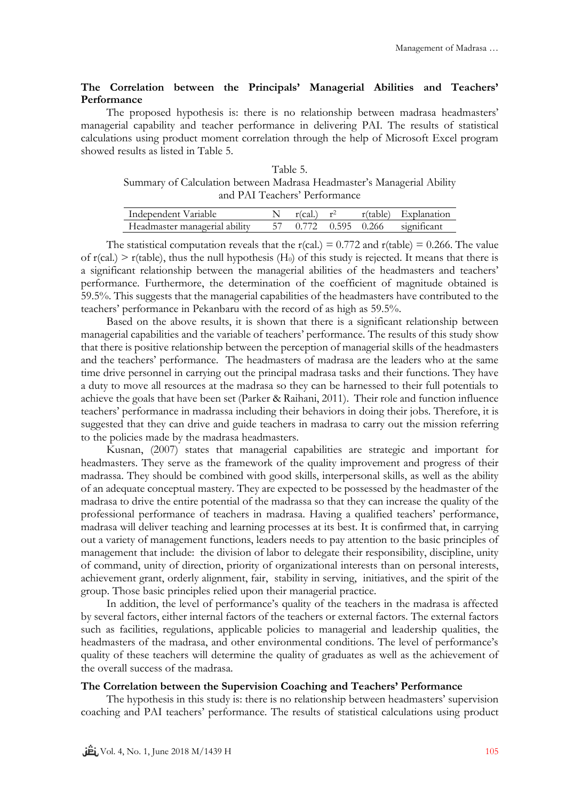# **The Correlation between the Principals' Managerial Abilities and Teachers' Performance**

The proposed hypothesis is: there is no relationship between madrasa headmasters' managerial capability and teacher performance in delivering PAI. The results of statistical calculations using product moment correlation through the help of Microsoft Excel program showed results as listed in Table 5.

Table 5. Summary of Calculation between Madrasa Headmaster's Managerial Ability and PAI Teachers' Performance

| Independent Variable          | $r(cal.) \t r^2$ |  | r(table) Explanation             |
|-------------------------------|------------------|--|----------------------------------|
| Headmaster managerial ability |                  |  | 57 0.772 0.595 0.266 significant |

The statistical computation reveals that the  $r(cal.) = 0.772$  and  $r(table) = 0.266$ . The value of  $r(\text{cal.}) > r(\text{table})$ , thus the null hypothesis (H<sub>0</sub>) of this study is rejected. It means that there is a significant relationship between the managerial abilities of the headmasters and teachers' performance. Furthermore, the determination of the coefficient of magnitude obtained is 59.5%. This suggests that the managerial capabilities of the headmasters have contributed to the teachers' performance in Pekanbaru with the record of as high as 59.5%.

Based on the above results, it is shown that there is a significant relationship between managerial capabilities and the variable of teachers' performance. The results of this study show that there is positive relationship between the perception of managerial skills of the headmasters and the teachers' performance. The headmasters of madrasa are the leaders who at the same time drive personnel in carrying out the principal madrasa tasks and their functions. They have a duty to move all resources at the madrasa so they can be harnessed to their full potentials to achieve the goals that have been set (Parker & Raihani, 2011). Their role and function influence teachers' performance in madrassa including their behaviors in doing their jobs. Therefore, it is suggested that they can drive and guide teachers in madrasa to carry out the mission referring to the policies made by the madrasa headmasters.

Kusnan, (2007) states that managerial capabilities are strategic and important for headmasters. They serve as the framework of the quality improvement and progress of their madrassa. They should be combined with good skills, interpersonal skills, as well as the ability of an adequate conceptual mastery. They are expected to be possessed by the headmaster of the madrasa to drive the entire potential of the madrassa so that they can increase the quality of the professional performance of teachers in madrasa. Having a qualified teachers' performance, madrasa will deliver teaching and learning processes at its best. It is confirmed that, in carrying out a variety of management functions, leaders needs to pay attention to the basic principles of management that include: the division of labor to delegate their responsibility, discipline, unity of command, unity of direction, priority of organizational interests than on personal interests, achievement grant, orderly alignment, fair, stability in serving, initiatives, and the spirit of the group. Those basic principles relied upon their managerial practice.

In addition, the level of performance's quality of the teachers in the madrasa is affected by several factors, either internal factors of the teachers or external factors. The external factors such as facilities, regulations, applicable policies to managerial and leadership qualities, the headmasters of the madrasa, and other environmental conditions. The level of performance's quality of these teachers will determine the quality of graduates as well as the achievement of the overall success of the madrasa.

## **The Correlation between the Supervision Coaching and Teachers' Performance**

The hypothesis in this study is: there is no relationship between headmasters' supervision coaching and PAI teachers' performance. The results of statistical calculations using product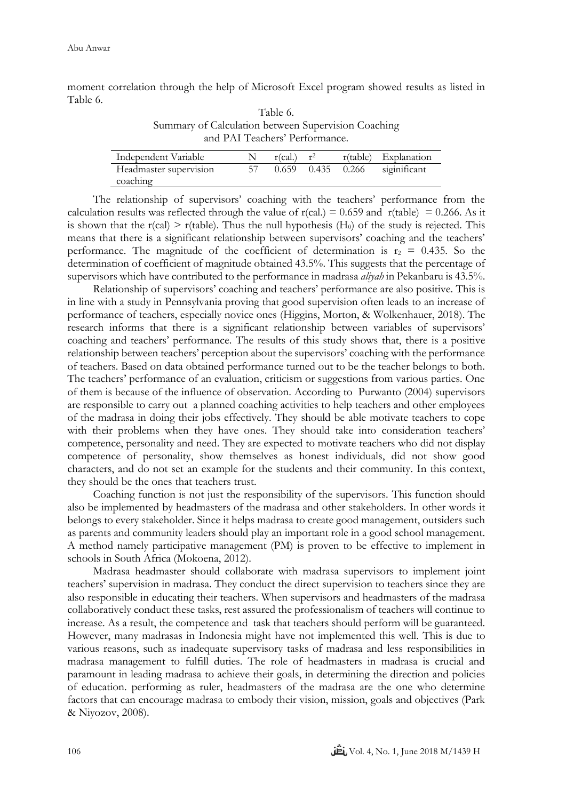moment correlation through the help of Microsoft Excel program showed results as listed in Table 6.

| Table 6.                                            |
|-----------------------------------------------------|
| Summary of Calculation between Supervision Coaching |
| and PAI Teachers' Performance.                      |

| Independent Variable   | $r(cal.)$ $r^2$ |       |       | r(table) Explanation |
|------------------------|-----------------|-------|-------|----------------------|
| Headmaster supervision | 0.659           | 0.435 | 0.266 | siginificant         |
| coaching               |                 |       |       |                      |

The relationship of supervisors' coaching with the teachers' performance from the calculation results was reflected through the value of  $r(cal.) = 0.659$  and  $r(table) = 0.266$ . As it is shown that the  $r(\text{cal}) > r(\text{table})$ . Thus the null hypothesis (H<sub>0</sub>) of the study is rejected. This means that there is a significant relationship between supervisors' coaching and the teachers' performance. The magnitude of the coefficient of determination is  $r_2 = 0.435$ . So the determination of coefficient of magnitude obtained 43.5%. This suggests that the percentage of supervisors which have contributed to the performance in madrasa *aliyah* in Pekanbaru is 43.5%.

Relationship of supervisors' coaching and teachers' performance are also positive. This is in line with a study in Pennsylvania proving that good supervision often leads to an increase of performance of teachers, especially novice ones (Higgins, Morton, & Wolkenhauer, 2018). The research informs that there is a significant relationship between variables of supervisors' coaching and teachers' performance. The results of this study shows that, there is a positive relationship between teachers' perception about the supervisors' coaching with the performance of teachers. Based on data obtained performance turned out to be the teacher belongs to both. The teachers' performance of an evaluation, criticism or suggestions from various parties. One of them is because of the influence of observation. According to Purwanto (2004) supervisors are responsible to carry out a planned coaching activities to help teachers and other employees of the madrasa in doing their jobs effectively. They should be able motivate teachers to cope with their problems when they have ones. They should take into consideration teachers' competence, personality and need. They are expected to motivate teachers who did not display competence of personality, show themselves as honest individuals, did not show good characters, and do not set an example for the students and their community. In this context, they should be the ones that teachers trust.

Coaching function is not just the responsibility of the supervisors. This function should also be implemented by headmasters of the madrasa and other stakeholders. In other words it belongs to every stakeholder. Since it helps madrasa to create good management, outsiders such as parents and community leaders should play an important role in a good school management. A method namely participative management (PM) is proven to be effective to implement in schools in South Africa (Mokoena, 2012).

Madrasa headmaster should collaborate with madrasa supervisors to implement joint teachers' supervision in madrasa. They conduct the direct supervision to teachers since they are also responsible in educating their teachers. When supervisors and headmasters of the madrasa collaboratively conduct these tasks, rest assured the professionalism of teachers will continue to increase. As a result, the competence and task that teachers should perform will be guaranteed. However, many madrasas in Indonesia might have not implemented this well. This is due to various reasons, such as inadequate supervisory tasks of madrasa and less responsibilities in madrasa management to fulfill duties. The role of headmasters in madrasa is crucial and paramount in leading madrasa to achieve their goals, in determining the direction and policies of education. performing as ruler, headmasters of the madrasa are the one who determine factors that can encourage madrasa to embody their vision, mission, goals and objectives (Park & Niyozov, 2008).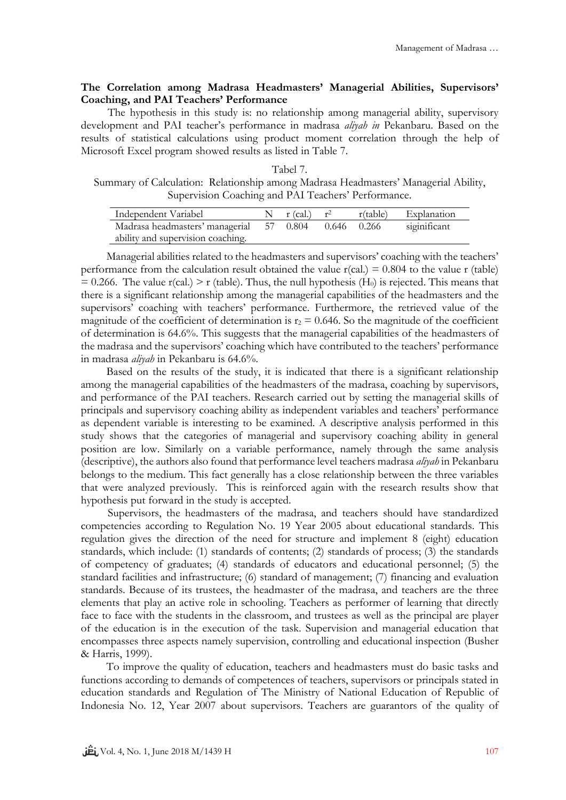# **The Correlation among Madrasa Headmasters' Managerial Abilities, Supervisors' Coaching, and PAI Teachers' Performance**

The hypothesis in this study is: no relationship among managerial ability, supervisory development and PAI teacher's performance in madrasa *aliyah in* Pekanbaru. Based on the results of statistical calculations using product moment correlation through the help of Microsoft Excel program showed results as listed in Table 7.

Tabel 7. Summary of Calculation: Relationship among Madrasa Headmasters' Managerial Ability, Supervision Coaching and PAI Teachers' Performance.

| Independent Variabel                                 | N $r$ (cal.) $r^2$ | r(table) | Explanation  |
|------------------------------------------------------|--------------------|----------|--------------|
| Madrasa headmasters' managerial 57 0.804 0.646 0.266 |                    |          | siginificant |
| ability and supervision coaching.                    |                    |          |              |

Managerial abilities related to the headmasters and supervisors' coaching with the teachers' performance from the calculation result obtained the value  $r(\text{cal.}) = 0.804$  to the value r (table)  $= 0.266$ . The value r(cal.) > r (table). Thus, the null hypothesis (H<sub>0</sub>) is rejected. This means that there is a significant relationship among the managerial capabilities of the headmasters and the supervisors' coaching with teachers' performance. Furthermore, the retrieved value of the magnitude of the coefficient of determination is  $r_2 = 0.646$ . So the magnitude of the coefficient of determination is 64.6%. This suggests that the managerial capabilities of the headmasters of the madrasa and the supervisors' coaching which have contributed to the teachers' performance in madrasa *aliyah* in Pekanbaru is 64.6%.

Based on the results of the study, it is indicated that there is a significant relationship among the managerial capabilities of the headmasters of the madrasa, coaching by supervisors, and performance of the PAI teachers. Research carried out by setting the managerial skills of principals and supervisory coaching ability as independent variables and teachers' performance as dependent variable is interesting to be examined. A descriptive analysis performed in this study shows that the categories of managerial and supervisory coaching ability in general position are low. Similarly on a variable performance, namely through the same analysis (descriptive), the authors also found that performance level teachers madrasa *aliyah* in Pekanbaru belongs to the medium. This fact generally has a close relationship between the three variables that were analyzed previously. This is reinforced again with the research results show that hypothesis put forward in the study is accepted.

Supervisors, the headmasters of the madrasa, and teachers should have standardized competencies according to Regulation No. 19 Year 2005 about educational standards. This regulation gives the direction of the need for structure and implement 8 (eight) education standards, which include: (1) standards of contents; (2) standards of process; (3) the standards of competency of graduates; (4) standards of educators and educational personnel; (5) the standard facilities and infrastructure; (6) standard of management; (7) financing and evaluation standards. Because of its trustees, the headmaster of the madrasa, and teachers are the three elements that play an active role in schooling. Teachers as performer of learning that directly face to face with the students in the classroom, and trustees as well as the principal are player of the education is in the execution of the task. Supervision and managerial education that encompasses three aspects namely supervision, controlling and educational inspection (Busher & Harris, 1999).

To improve the quality of education, teachers and headmasters must do basic tasks and functions according to demands of competences of teachers, supervisors or principals stated in education standards and Regulation of The Ministry of National Education of Republic of Indonesia No. 12, Year 2007 about supervisors. Teachers are guarantors of the quality of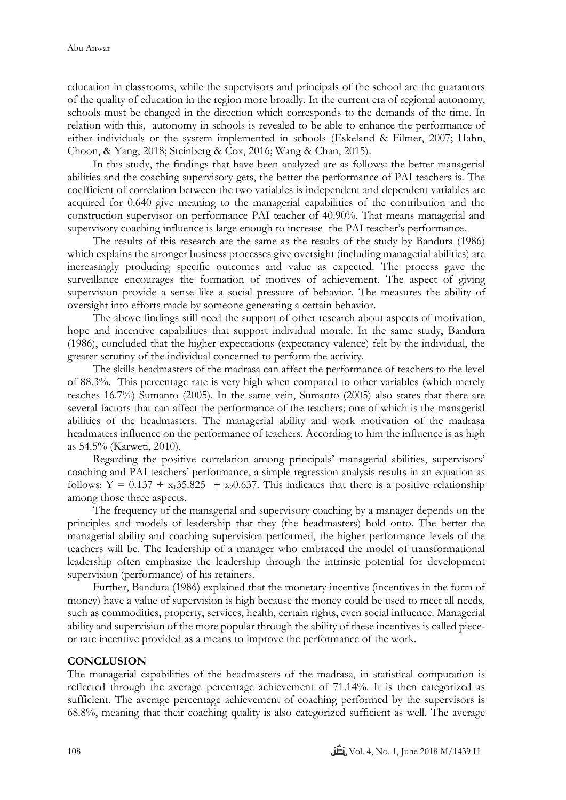education in classrooms, while the supervisors and principals of the school are the guarantors of the quality of education in the region more broadly. In the current era of regional autonomy, schools must be changed in the direction which corresponds to the demands of the time. In relation with this, autonomy in schools is revealed to be able to enhance the performance of either individuals or the system implemented in schools (Eskeland & Filmer, 2007; Hahn, Choon, & Yang, 2018; Steinberg & Cox, 2016; Wang & Chan, 2015).

In this study, the findings that have been analyzed are as follows: the better managerial abilities and the coaching supervisory gets, the better the performance of PAI teachers is. The coefficient of correlation between the two variables is independent and dependent variables are acquired for 0.640 give meaning to the managerial capabilities of the contribution and the construction supervisor on performance PAI teacher of 40.90%. That means managerial and supervisory coaching influence is large enough to increase the PAI teacher's performance.

The results of this research are the same as the results of the study by Bandura (1986) which explains the stronger business processes give oversight (including managerial abilities) are increasingly producing specific outcomes and value as expected. The process gave the surveillance encourages the formation of motives of achievement. The aspect of giving supervision provide a sense like a social pressure of behavior. The measures the ability of oversight into efforts made by someone generating a certain behavior.

The above findings still need the support of other research about aspects of motivation, hope and incentive capabilities that support individual morale. In the same study, Bandura (1986), concluded that the higher expectations (expectancy valence) felt by the individual, the greater scrutiny of the individual concerned to perform the activity.

The skills headmasters of the madrasa can affect the performance of teachers to the level of 88.3%. This percentage rate is very high when compared to other variables (which merely reaches 16.7%) Sumanto (2005). In the same vein, Sumanto (2005) also states that there are several factors that can affect the performance of the teachers; one of which is the managerial abilities of the headmasters. The managerial ability and work motivation of the madrasa headmaters influence on the performance of teachers. According to him the influence is as high as 54.5% (Karweti, 2010).

Regarding the positive correlation among principals' managerial abilities, supervisors' coaching and PAI teachers' performance, a simple regression analysis results in an equation as follows:  $Y = 0.137 + x_135.825 + x_20.637$ . This indicates that there is a positive relationship among those three aspects.

The frequency of the managerial and supervisory coaching by a manager depends on the principles and models of leadership that they (the headmasters) hold onto. The better the managerial ability and coaching supervision performed, the higher performance levels of the teachers will be. The leadership of a manager who embraced the model of transformational leadership often emphasize the leadership through the intrinsic potential for development supervision (performance) of his retainers.

Further, Bandura (1986) explained that the monetary incentive (incentives in the form of money) have a value of supervision is high because the money could be used to meet all needs, such as commodities, property, services, health, certain rights, even social influence. Managerial ability and supervision of the more popular through the ability of these incentives is called pieceor rate incentive provided as a means to improve the performance of the work.

#### **CONCLUSION**

The managerial capabilities of the headmasters of the madrasa, in statistical computation is reflected through the average percentage achievement of 71.14%. It is then categorized as sufficient. The average percentage achievement of coaching performed by the supervisors is 68.8%, meaning that their coaching quality is also categorized sufficient as well. The average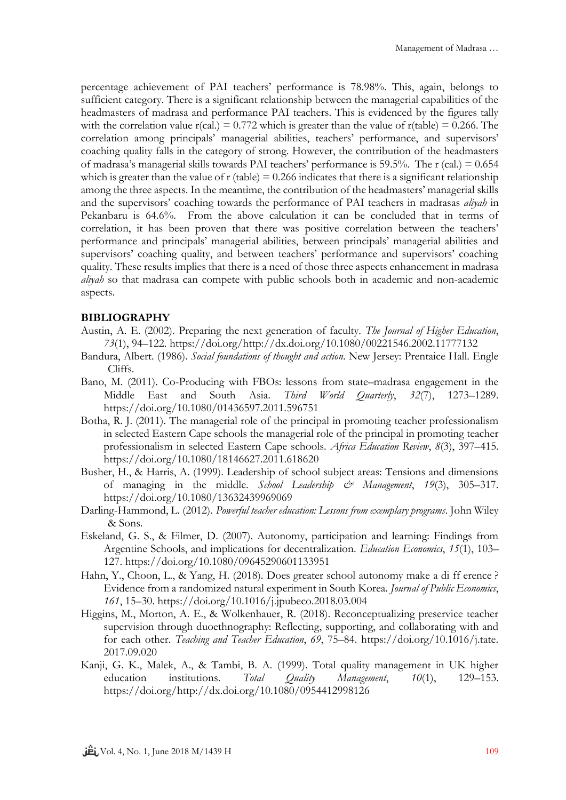percentage achievement of PAI teachers' performance is 78.98%. This, again, belongs to sufficient category. There is a significant relationship between the managerial capabilities of the headmasters of madrasa and performance PAI teachers. This is evidenced by the figures tally with the correlation value  $r(cal.) = 0.772$  which is greater than the value of  $r(table) = 0.266$ . The correlation among principals' managerial abilities, teachers' performance, and supervisors' coaching quality falls in the category of strong. However, the contribution of the headmasters of madrasa's managerial skills towards PAI teachers' performance is 59.5%. The r (cal.) = 0.654 which is greater than the value of  $r$  (table) = 0.266 indicates that there is a significant relationship among the three aspects. In the meantime, the contribution of the headmasters' managerial skills and the supervisors' coaching towards the performance of PAI teachers in madrasas *aliyah* in Pekanbaru is 64.6%. From the above calculation it can be concluded that in terms of correlation, it has been proven that there was positive correlation between the teachers' performance and principals' managerial abilities, between principals' managerial abilities and supervisors' coaching quality, and between teachers' performance and supervisors' coaching quality. These results implies that there is a need of those three aspects enhancement in madrasa *aliyah* so that madrasa can compete with public schools both in academic and non-academic aspects.

## **BIBLIOGRAPHY**

- Austin, A. E. (2002). Preparing the next generation of faculty. *The Journal of Higher Education*, *73*(1), 94–122. https://doi.org/http://dx.doi.org/10.1080/00221546.2002.11777132
- Bandura, Albert. (1986). *Social foundations of thought and action*. New Jersey: Prentaice Hall. Engle Cliffs.
- Bano, M. (2011). Co-Producing with FBOs: lessons from state–madrasa engagement in the Middle East and South Asia. *Third World Quarterly*, *32*(7), 1273–1289. https://doi.org/10.1080/01436597.2011.596751
- Botha, R. J. (2011). The managerial role of the principal in promoting teacher professionalism in selected Eastern Cape schools the managerial role of the principal in promoting teacher professionalism in selected Eastern Cape schools. *Africa Education Review*, *8*(3), 397–415. https://doi.org/10.1080/18146627.2011.618620
- Busher, H., & Harris, A. (1999). Leadership of school subject areas: Tensions and dimensions of managing in the middle. *School Leadership & Management*, *19*(3), 305–317. https://doi.org/10.1080/13632439969069
- Darling-Hammond, L. (2012). *Powerful teacher education: Lessons from exemplary programs*. John Wiley & Sons.
- Eskeland, G. S., & Filmer, D. (2007). Autonomy, participation and learning: Findings from Argentine Schools, and implications for decentralization. *Education Economics*, *15*(1), 103– 127. https://doi.org/10.1080/09645290601133951
- Hahn, Y., Choon, L., & Yang, H. (2018). Does greater school autonomy make a di ff erence ? Evidence from a randomized natural experiment in South Korea. *Journal of Public Economics*, *161*, 15–30. https://doi.org/10.1016/j.jpubeco.2018.03.004
- Higgins, M., Morton, A. E., & Wolkenhauer, R. (2018). Reconceptualizing preservice teacher supervision through duoethnography: Reflecting, supporting, and collaborating with and for each other. *Teaching and Teacher Education*, *69*, 75–84. https://doi.org/10.1016/j.tate. 2017.09.020
- Kanji, G. K., Malek, A., & Tambi, B. A. (1999). Total quality management in UK higher education institutions. *Total Quality Management*, *10*(1), 129–153. https://doi.org/http://dx.doi.org/10.1080/0954412998126